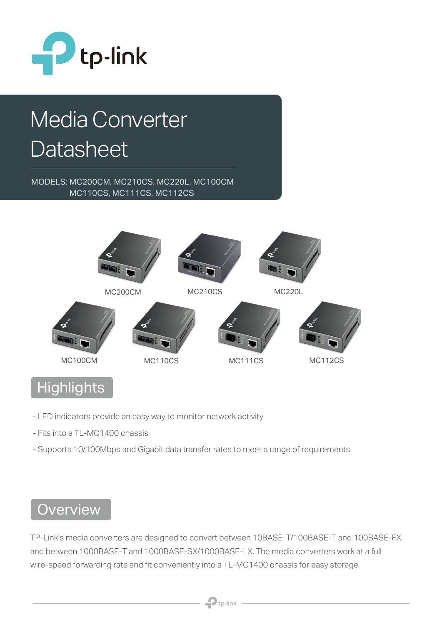

## Media Converter Datasheet

MODELS: MC200CM, MC210CS, MC220L, MC100CM MC110CS, MC111CS, MC112CS



## **Highlights**

- LED indicators provide an easy way to monitor network activity
- Fits into a TL-MC1400 chassis
- Supports 10/100Mbps and Gigabit data transfer rates to meet a range of requirements

## **Overview**

TP-Link's media converters are designed to convert between 10BASE-T/100BASE-T and 100BASE-FX, and between 1000BASE-T and 1000BASE-SX/1000BASE-LX. The media converters work at a full wire-speed forwarding rate and fit conveniently into a TL-MC1400 chassis for easy storage.